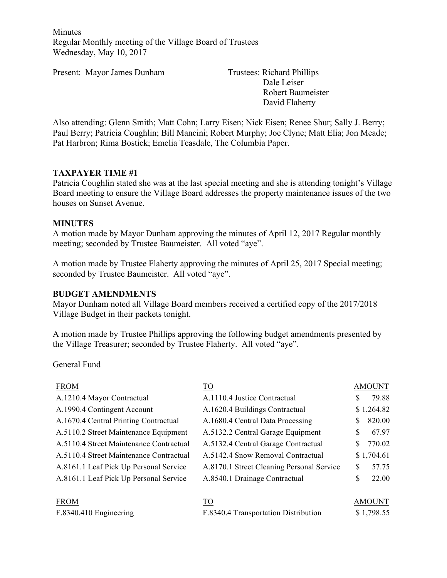Minutes Regular Monthly meeting of the Village Board of Trustees Wednesday, May 10, 2017

Present: Mayor James Dunham Trustees: Richard Phillips

Dale Leiser Robert Baumeister David Flaherty

Also attending: Glenn Smith; Matt Cohn; Larry Eisen; Nick Eisen; Renee Shur; Sally J. Berry; Paul Berry; Patricia Coughlin; Bill Mancini; Robert Murphy; Joe Clyne; Matt Elia; Jon Meade; Pat Harbron; Rima Bostick; Emelia Teasdale, The Columbia Paper.

### **TAXPAYER TIME #1**

Patricia Coughlin stated she was at the last special meeting and she is attending tonight's Village Board meeting to ensure the Village Board addresses the property maintenance issues of the two houses on Sunset Avenue.

### **MINUTES**

A motion made by Mayor Dunham approving the minutes of April 12, 2017 Regular monthly meeting; seconded by Trustee Baumeister. All voted "aye".

A motion made by Trustee Flaherty approving the minutes of April 25, 2017 Special meeting; seconded by Trustee Baumeister. All voted "aye".

### **BUDGET AMENDMENTS**

Mayor Dunham noted all Village Board members received a certified copy of the 2017/2018 Village Budget in their packets tonight.

A motion made by Trustee Phillips approving the following budget amendments presented by the Village Treasurer; seconded by Trustee Flaherty. All voted "aye".

General Fund

| <b>FROM</b>                             | TO                                        |               | <b>AMOUNT</b> |
|-----------------------------------------|-------------------------------------------|---------------|---------------|
| A.1210.4 Mayor Contractual              | A.1110.4 Justice Contractual              | S             | 79.88         |
| A.1990.4 Contingent Account             | A.1620.4 Buildings Contractual            |               | \$1,264.82    |
| A.1670.4 Central Printing Contractual   | A.1680.4 Central Data Processing          | S             | 820.00        |
| A.5110.2 Street Maintenance Equipment   | A.5132.2 Central Garage Equipment         | S             | 67.97         |
| A.5110.4 Street Maintenance Contractual | A.5132.4 Central Garage Contractual       | S             | 770.02        |
| A.5110.4 Street Maintenance Contractual | A.5142.4 Snow Removal Contractual         |               | \$1,704.61    |
| A.8161.1 Leaf Pick Up Personal Service  | A.8170.1 Street Cleaning Personal Service | \$.           | 57.75         |
| A.8161.1 Leaf Pick Up Personal Service  | A.8540.1 Drainage Contractual             | \$            | 22.00         |
|                                         |                                           |               |               |
| <b>FROM</b>                             | <b>TO</b>                                 | <b>AMOUNT</b> |               |
| F.8340.410 Engineering                  | F.8340.4 Transportation Distribution      |               | \$1,798.55    |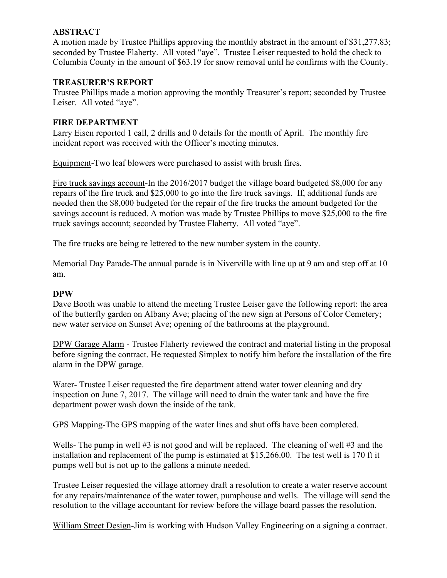# **ABSTRACT**

A motion made by Trustee Phillips approving the monthly abstract in the amount of \$31,277.83; seconded by Trustee Flaherty. All voted "aye". Trustee Leiser requested to hold the check to Columbia County in the amount of \$63.19 for snow removal until he confirms with the County.

# **TREASURER'S REPORT**

Trustee Phillips made a motion approving the monthly Treasurer's report; seconded by Trustee Leiser. All voted "aye".

# **FIRE DEPARTMENT**

Larry Eisen reported 1 call, 2 drills and 0 details for the month of April. The monthly fire incident report was received with the Officer's meeting minutes.

Equipment-Two leaf blowers were purchased to assist with brush fires.

Fire truck savings account-In the 2016/2017 budget the village board budgeted \$8,000 for any repairs of the fire truck and \$25,000 to go into the fire truck savings. If, additional funds are needed then the \$8,000 budgeted for the repair of the fire trucks the amount budgeted for the savings account is reduced. A motion was made by Trustee Phillips to move \$25,000 to the fire truck savings account; seconded by Trustee Flaherty. All voted "aye".

The fire trucks are being re lettered to the new number system in the county.

Memorial Day Parade-The annual parade is in Niverville with line up at 9 am and step off at 10 am.

## **DPW**

Dave Booth was unable to attend the meeting Trustee Leiser gave the following report: the area of the butterfly garden on Albany Ave; placing of the new sign at Persons of Color Cemetery; new water service on Sunset Ave; opening of the bathrooms at the playground.

DPW Garage Alarm - Trustee Flaherty reviewed the contract and material listing in the proposal before signing the contract. He requested Simplex to notify him before the installation of the fire alarm in the DPW garage.

Water- Trustee Leiser requested the fire department attend water tower cleaning and dry inspection on June 7, 2017. The village will need to drain the water tank and have the fire department power wash down the inside of the tank.

GPS Mapping-The GPS mapping of the water lines and shut offs have been completed.

Wells- The pump in well #3 is not good and will be replaced. The cleaning of well #3 and the installation and replacement of the pump is estimated at \$15,266.00. The test well is 170 ft it pumps well but is not up to the gallons a minute needed.

Trustee Leiser requested the village attorney draft a resolution to create a water reserve account for any repairs/maintenance of the water tower, pumphouse and wells. The village will send the resolution to the village accountant for review before the village board passes the resolution.

William Street Design-Jim is working with Hudson Valley Engineering on a signing a contract.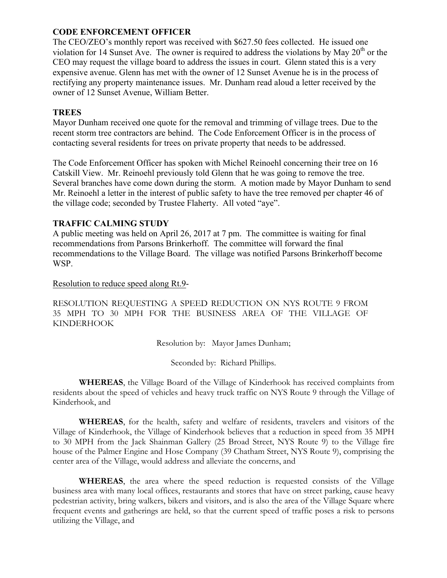# **CODE ENFORCEMENT OFFICER**

The CEO/ZEO's monthly report was received with \$627.50 fees collected. He issued one violation for 14 Sunset Ave. The owner is required to address the violations by May  $20<sup>th</sup>$  or the CEO may request the village board to address the issues in court. Glenn stated this is a very expensive avenue. Glenn has met with the owner of 12 Sunset Avenue he is in the process of rectifying any property maintenance issues. Mr. Dunham read aloud a letter received by the owner of 12 Sunset Avenue, William Better.

## **TREES**

Mayor Dunham received one quote for the removal and trimming of village trees. Due to the recent storm tree contractors are behind. The Code Enforcement Officer is in the process of contacting several residents for trees on private property that needs to be addressed.

The Code Enforcement Officer has spoken with Michel Reinoehl concerning their tree on 16 Catskill View. Mr. Reinoehl previously told Glenn that he was going to remove the tree. Several branches have come down during the storm. A motion made by Mayor Dunham to send Mr. Reinoehl a letter in the interest of public safety to have the tree removed per chapter 46 of the village code; seconded by Trustee Flaherty. All voted "aye".

# **TRAFFIC CALMING STUDY**

A public meeting was held on April 26, 2017 at 7 pm. The committee is waiting for final recommendations from Parsons Brinkerhoff. The committee will forward the final recommendations to the Village Board. The village was notified Parsons Brinkerhoff become WSP.

#### Resolution to reduce speed along Rt.9-

RESOLUTION REQUESTING A SPEED REDUCTION ON NYS ROUTE 9 FROM 35 MPH TO 30 MPH FOR THE BUSINESS AREA OF THE VILLAGE OF KINDERHOOK

Resolution by: Mayor James Dunham;

Seconded by: Richard Phillips.

**WHEREAS**, the Village Board of the Village of Kinderhook has received complaints from residents about the speed of vehicles and heavy truck traffic on NYS Route 9 through the Village of Kinderhook, and

**WHEREAS**, for the health, safety and welfare of residents, travelers and visitors of the Village of Kinderhook, the Village of Kinderhook believes that a reduction in speed from 35 MPH to 30 MPH from the Jack Shainman Gallery (25 Broad Street, NYS Route 9) to the Village fire house of the Palmer Engine and Hose Company (39 Chatham Street, NYS Route 9), comprising the center area of the Village, would address and alleviate the concerns, and

**WHEREAS**, the area where the speed reduction is requested consists of the Village business area with many local offices, restaurants and stores that have on street parking, cause heavy pedestrian activity, bring walkers, bikers and visitors, and is also the area of the Village Square where frequent events and gatherings are held, so that the current speed of traffic poses a risk to persons utilizing the Village, and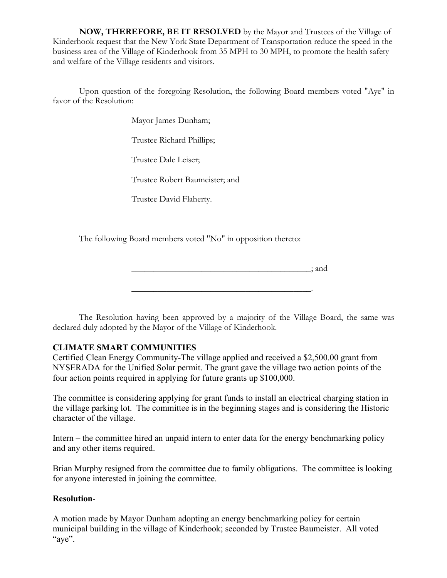**NOW, THEREFORE, BE IT RESOLVED** by the Mayor and Trustees of the Village of Kinderhook request that the New York State Department of Transportation reduce the speed in the business area of the Village of Kinderhook from 35 MPH to 30 MPH, to promote the health safety and welfare of the Village residents and visitors.

Upon question of the foregoing Resolution, the following Board members voted "Aye" in favor of the Resolution:

Mayor James Dunham;

Trustee Richard Phillips;

Trustee Dale Leiser;

Trustee Robert Baumeister; and

Trustee David Flaherty.

The following Board members voted "No" in opposition thereto:

\_\_\_\_\_\_\_\_\_\_\_\_\_\_\_\_\_\_\_\_\_\_\_\_\_\_\_\_\_\_\_\_\_\_\_\_\_\_\_\_\_; and

\_\_\_\_\_\_\_\_\_\_\_\_\_\_\_\_\_\_\_\_\_\_\_\_\_\_\_\_\_\_\_\_\_\_\_\_\_\_\_\_\_.

The Resolution having been approved by a majority of the Village Board, the same was declared duly adopted by the Mayor of the Village of Kinderhook.

# **CLIMATE SMART COMMUNITIES**

Certified Clean Energy Community-The village applied and received a \$2,500.00 grant from NYSERADA for the Unified Solar permit. The grant gave the village two action points of the four action points required in applying for future grants up \$100,000.

The committee is considering applying for grant funds to install an electrical charging station in the village parking lot. The committee is in the beginning stages and is considering the Historic character of the village.

Intern – the committee hired an unpaid intern to enter data for the energy benchmarking policy and any other items required.

Brian Murphy resigned from the committee due to family obligations. The committee is looking for anyone interested in joining the committee.

### **Resolution**-

A motion made by Mayor Dunham adopting an energy benchmarking policy for certain municipal building in the village of Kinderhook; seconded by Trustee Baumeister. All voted "aye".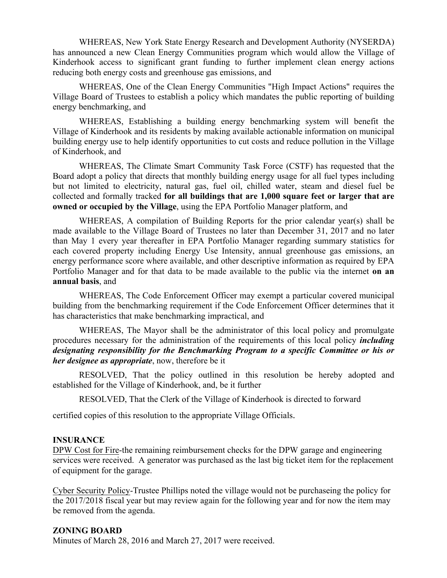WHEREAS, New York State Energy Research and Development Authority (NYSERDA) has announced a new Clean Energy Communities program which would allow the Village of Kinderhook access to significant grant funding to further implement clean energy actions reducing both energy costs and greenhouse gas emissions, and

WHEREAS, One of the Clean Energy Communities "High Impact Actions" requires the Village Board of Trustees to establish a policy which mandates the public reporting of building energy benchmarking, and

WHEREAS, Establishing a building energy benchmarking system will benefit the Village of Kinderhook and its residents by making available actionable information on municipal building energy use to help identify opportunities to cut costs and reduce pollution in the Village of Kinderhook, and

WHEREAS, The Climate Smart Community Task Force (CSTF) has requested that the Board adopt a policy that directs that monthly building energy usage for all fuel types including but not limited to electricity, natural gas, fuel oil, chilled water, steam and diesel fuel be collected and formally tracked **for all buildings that are 1,000 square feet or larger that are owned or occupied by the Village**, using the EPA Portfolio Manager platform, and

WHEREAS, A compilation of Building Reports for the prior calendar year(s) shall be made available to the Village Board of Trustees no later than December 31, 2017 and no later than May 1 every year thereafter in EPA Portfolio Manager regarding summary statistics for each covered property including Energy Use Intensity, annual greenhouse gas emissions, an energy performance score where available, and other descriptive information as required by EPA Portfolio Manager and for that data to be made available to the public via the internet **on an annual basis**, and

WHEREAS, The Code Enforcement Officer may exempt a particular covered municipal building from the benchmarking requirement if the Code Enforcement Officer determines that it has characteristics that make benchmarking impractical, and

WHEREAS, The Mayor shall be the administrator of this local policy and promulgate procedures necessary for the administration of the requirements of this local policy *including designating responsibility for the Benchmarking Program to a specific Committee or his or her designee as appropriate*, now, therefore be it

RESOLVED, That the policy outlined in this resolution be hereby adopted and established for the Village of Kinderhook, and, be it further

RESOLVED, That the Clerk of the Village of Kinderhook is directed to forward

certified copies of this resolution to the appropriate Village Officials.

### **INSURANCE**

DPW Cost for Fire-the remaining reimbursement checks for the DPW garage and engineering services were received. A generator was purchased as the last big ticket item for the replacement of equipment for the garage.

Cyber Security Policy-Trustee Phillips noted the village would not be purchaseing the policy for the 2017/2018 fiscal year but may review again for the following year and for now the item may be removed from the agenda.

# **ZONING BOARD**

Minutes of March 28, 2016 and March 27, 2017 were received.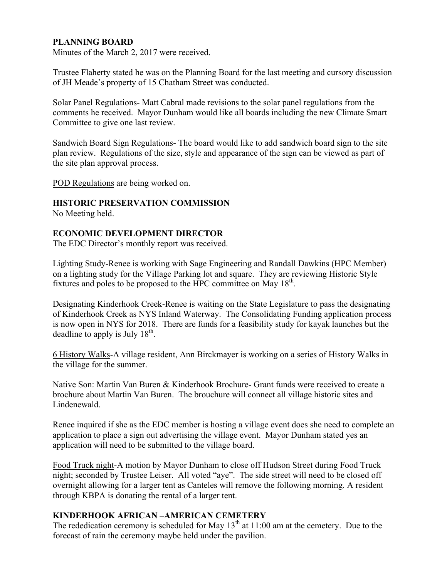# **PLANNING BOARD**

Minutes of the March 2, 2017 were received.

Trustee Flaherty stated he was on the Planning Board for the last meeting and cursory discussion of JH Meade's property of 15 Chatham Street was conducted.

Solar Panel Regulations- Matt Cabral made revisions to the solar panel regulations from the comments he received. Mayor Dunham would like all boards including the new Climate Smart Committee to give one last review.

Sandwich Board Sign Regulations- The board would like to add sandwich board sign to the site plan review. Regulations of the size, style and appearance of the sign can be viewed as part of the site plan approval process.

POD Regulations are being worked on.

### **HISTORIC PRESERVATION COMMISSION**

No Meeting held.

### **ECONOMIC DEVELOPMENT DIRECTOR**

The EDC Director's monthly report was received.

Lighting Study-Renee is working with Sage Engineering and Randall Dawkins (HPC Member) on a lighting study for the Village Parking lot and square. They are reviewing Historic Style fixtures and poles to be proposed to the HPC committee on May  $18<sup>th</sup>$ .

Designating Kinderhook Creek-Renee is waiting on the State Legislature to pass the designating of Kinderhook Creek as NYS Inland Waterway. The Consolidating Funding application process is now open in NYS for 2018. There are funds for a feasibility study for kayak launches but the deadline to apply is July  $18<sup>th</sup>$ .

6 History Walks-A village resident, Ann Birckmayer is working on a series of History Walks in the village for the summer.

Native Son: Martin Van Buren & Kinderhook Brochure- Grant funds were received to create a brochure about Martin Van Buren. The brouchure will connect all village historic sites and Lindenewald.

Renee inquired if she as the EDC member is hosting a village event does she need to complete an application to place a sign out advertising the village event. Mayor Dunham stated yes an application will need to be submitted to the village board.

Food Truck night-A motion by Mayor Dunham to close off Hudson Street during Food Truck night; seconded by Trustee Leiser. All voted "aye". The side street will need to be closed off overnight allowing for a larger tent as Canteles will remove the following morning. A resident through KBPA is donating the rental of a larger tent.

### **KINDERHOOK AFRICAN –AMERICAN CEMETERY**

The rededication ceremony is scheduled for May  $13<sup>th</sup>$  at 11:00 am at the cemetery. Due to the forecast of rain the ceremony maybe held under the pavilion.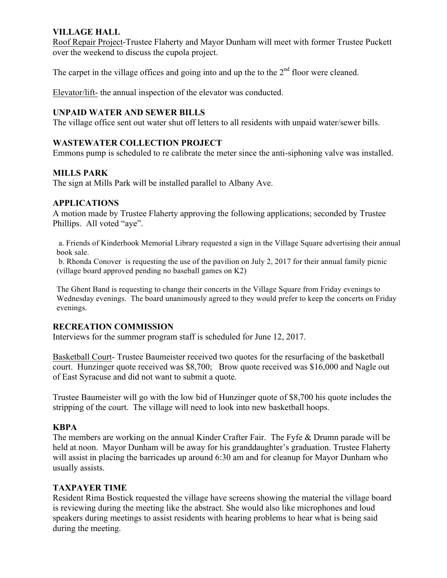# **VILLAGE HALL**

Roof Repair Project-Trustee Flaherty and Mayor Dunham will meet with former Trustee Puckett over the weekend to discuss the cupola project.

The carpet in the village offices and going into and up the to the  $2<sup>nd</sup>$  floor were cleaned.

Elevator/lift- the annual inspection of the elevator was conducted.

### **UNPAID WATER AND SEWER BILLS**

The village office sent out water shut off letters to all residents with unpaid water/sewer bills.

### **WASTEWATER COLLECTION PROJECT**

Emmons pump is scheduled to re calibrate the meter since the anti-siphoning valve was installed.

### **MILLS PARK**

The sign at Mills Park will be installed parallel to Albany Ave.

### **APPLICATIONS**

A motion made by Trustee Flaherty approving the following applications; seconded by Trustee Phillips. All voted "aye".

a. Friends of Kinderhook Memorial Library requested a sign in the Village Square advertising their annual book sale.

b. Rhonda Conover is requesting the use of the pavilion on July 2, 2017 for their annual family picnic (village board approved pending no baseball games on K2)

The Ghent Band is requesting to change their concerts in the Village Square from Friday evenings to Wednesday evenings. The board unanimously agreed to they would prefer to keep the concerts on Friday evenings.

### **RECREATION COMMISSION**

Interviews for the summer program staff is scheduled for June 12, 2017.

Basketball Court- Trustee Baumeister received two quotes for the resurfacing of the basketball court. Hunzinger quote received was \$8,700; Brow quote received was \$16,000 and Nagle out of East Syracuse and did not want to submit a quote.

Trustee Baumeister will go with the low bid of Hunzinger quote of \$8,700 his quote includes the stripping of the court. The village will need to look into new basketball hoops.

### **KBPA**

The members are working on the annual Kinder Crafter Fair. The Fyfe & Drumn parade will be held at noon. Mayor Dunham will be away for his granddaughter's graduation. Trustee Flaherty will assist in placing the barricades up around 6:30 am and for cleanup for Mayor Dunham who usually assists.

### **TAXPAYER TIME**

Resident Rima Bostick requested the village have screens showing the material the village board is reviewing during the meeting like the abstract. She would also like microphones and loud speakers during meetings to assist residents with hearing problems to hear what is being said during the meeting.